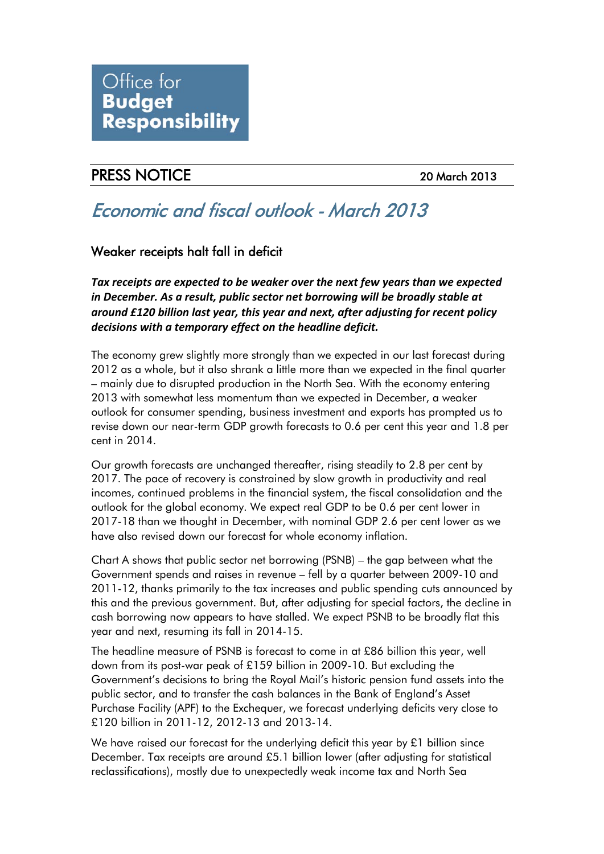

## PRESS NOTICE 20 March 2013

# Economic and fiscal outlook - March 2013

### Weaker receipts halt fall in deficit

*Tax receipts are expected to be weaker over the next few years than we expected in December. As a result, public sector net borrowing will be broadly stable at around £120 billion last year, this year and next, after adjusting for recent policy decisions with a temporary effect on the headline deficit.*

The economy grew slightly more strongly than we expected in our last forecast during 2012 as a whole, but it also shrank a little more than we expected in the final quarter – mainly due to disrupted production in the North Sea. With the economy entering 2013 with somewhat less momentum than we expected in December, a weaker outlook for consumer spending, business investment and exports has prompted us to revise down our near-term GDP growth forecasts to 0.6 per cent this year and 1.8 per cent in 2014.

Our growth forecasts are unchanged thereafter, rising steadily to 2.8 per cent by 2017. The pace of recovery is constrained by slow growth in productivity and real incomes, continued problems in the financial system, the fiscal consolidation and the outlook for the global economy. We expect real GDP to be 0.6 per cent lower in 2017-18 than we thought in December, with nominal GDP 2.6 per cent lower as we have also revised down our forecast for whole economy inflation.

Chart A shows that public sector net borrowing (PSNB) – the gap between what the Government spends and raises in revenue – fell by a quarter between 2009-10 and 2011-12, thanks primarily to the tax increases and public spending cuts announced by this and the previous government. But, after adjusting for special factors, the decline in cash borrowing now appears to have stalled. We expect PSNB to be broadly flat this year and next, resuming its fall in 2014-15.

The headline measure of PSNB is forecast to come in at £86 billion this year, well down from its post-war peak of £159 billion in 2009-10. But excluding the Government's decisions to bring the Royal Mail's historic pension fund assets into the public sector, and to transfer the cash balances in the Bank of England's Asset Purchase Facility (APF) to the Exchequer, we forecast underlying deficits very close to £120 billion in 2011-12, 2012-13 and 2013-14.

We have raised our forecast for the underlying deficit this year by  $\mathfrak{L}1$  billion since December. Tax receipts are around £5.1 billion lower (after adjusting for statistical reclassifications), mostly due to unexpectedly weak income tax and North Sea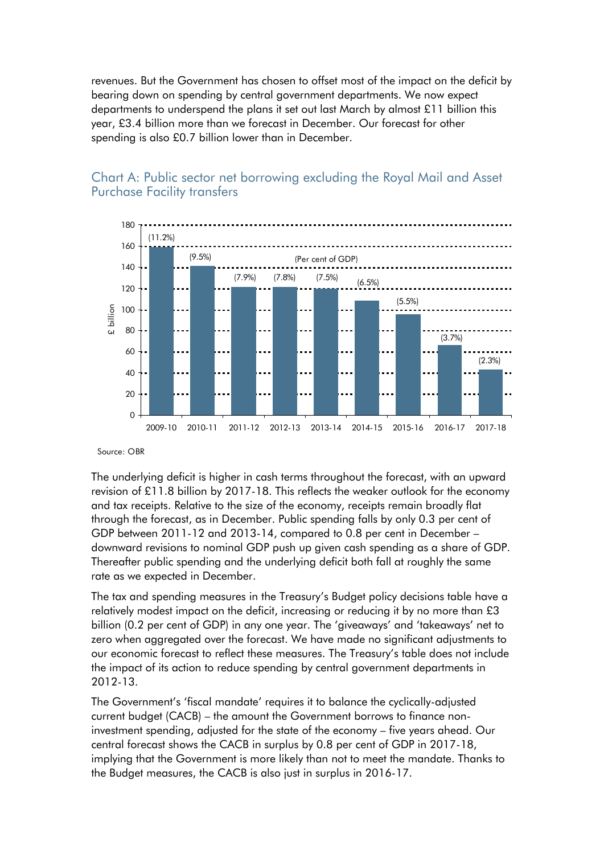revenues. But the Government has chosen to offset most of the impact on the deficit by bearing down on spending by central government departments. We now expect departments to underspend the plans it set out last March by almost £11 billion this year, £3.4 billion more than we forecast in December. Our forecast for other spending is also £0.7 billion lower than in December.



### Chart A: Public sector net borrowing excluding the Royal Mail and Asset Purchase Facility transfers

Source: OBR

The underlying deficit is higher in cash terms throughout the forecast, with an upward revision of £11.8 billion by 2017-18. This reflects the weaker outlook for the economy and tax receipts. Relative to the size of the economy, receipts remain broadly flat through the forecast, as in December. Public spending falls by only 0.3 per cent of GDP between 2011-12 and 2013-14, compared to 0.8 per cent in December – downward revisions to nominal GDP push up given cash spending as a share of GDP. Thereafter public spending and the underlying deficit both fall at roughly the same rate as we expected in December.

The tax and spending measures in the Treasury's Budget policy decisions table have a relatively modest impact on the deficit, increasing or reducing it by no more than £3 billion (0.2 per cent of GDP) in any one year. The 'giveaways' and 'takeaways' net to zero when aggregated over the forecast. We have made no significant adjustments to our economic forecast to reflect these measures. The Treasury's table does not include the impact of its action to reduce spending by central government departments in 2012-13.

The Government's 'fiscal mandate' requires it to balance the cyclically-adjusted current budget (CACB) – the amount the Government borrows to finance noninvestment spending, adjusted for the state of the economy – five years ahead. Our central forecast shows the CACB in surplus by 0.8 per cent of GDP in 2017-18, implying that the Government is more likely than not to meet the mandate. Thanks to the Budget measures, the CACB is also just in surplus in 2016-17.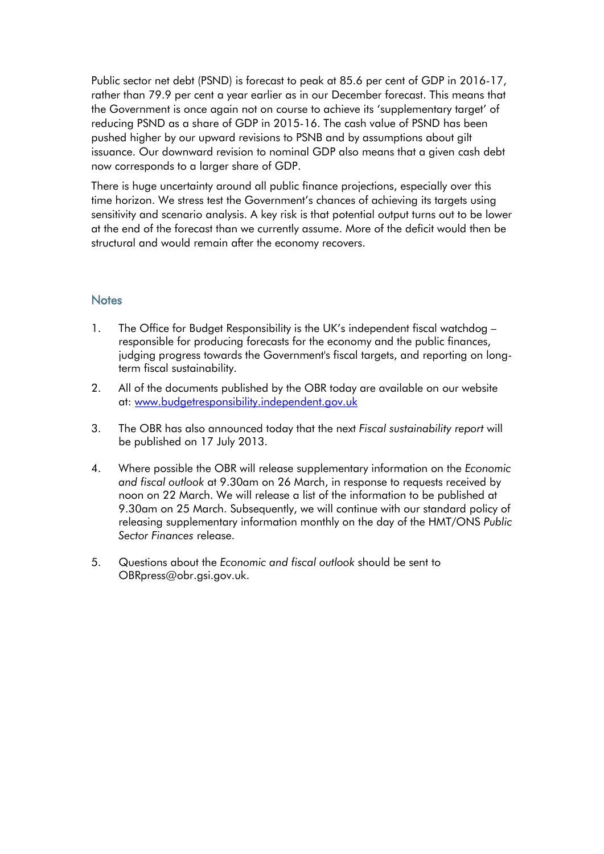Public sector net debt (PSND) is forecast to peak at 85.6 per cent of GDP in 2016-17, rather than 79.9 per cent a year earlier as in our December forecast. This means that the Government is once again not on course to achieve its 'supplementary target' of reducing PSND as a share of GDP in 2015-16. The cash value of PSND has been pushed higher by our upward revisions to PSNB and by assumptions about gilt issuance. Our downward revision to nominal GDP also means that a given cash debt now corresponds to a larger share of GDP.

There is huge uncertainty around all public finance projections, especially over this time horizon. We stress test the Government's chances of achieving its targets using sensitivity and scenario analysis. A key risk is that potential output turns out to be lower at the end of the forecast than we currently assume. More of the deficit would then be structural and would remain after the economy recovers.

#### **Notes**

- 1. The Office for Budget Responsibility is the UK's independent fiscal watchdog responsible for producing forecasts for the economy and the public finances, judging progress towards the Government's fiscal targets, and reporting on longterm fiscal sustainability.
- 2. All of the documents published by the OBR today are available on our website at: [www.budgetresponsibility.independent.gov.uk](http://budgetresponsibility.independent.gov.uk/)
- 3. The OBR has also announced today that the next *Fiscal sustainability report* will be published on 17 July 2013.
- 4. Where possible the OBR will release supplementary information on the *Economic and fiscal outlook* at 9.30am on 26 March, in response to requests received by noon on 22 March. We will release a list of the information to be published at 9.30am on 25 March. Subsequently, we will continue with our standard policy of releasing supplementary information monthly on the day of the HMT/ONS *Public Sector Finances* release.
- 5. Questions about the *Economic and fiscal outlook* should be sent to OBRpress@obr.gsi.gov.uk.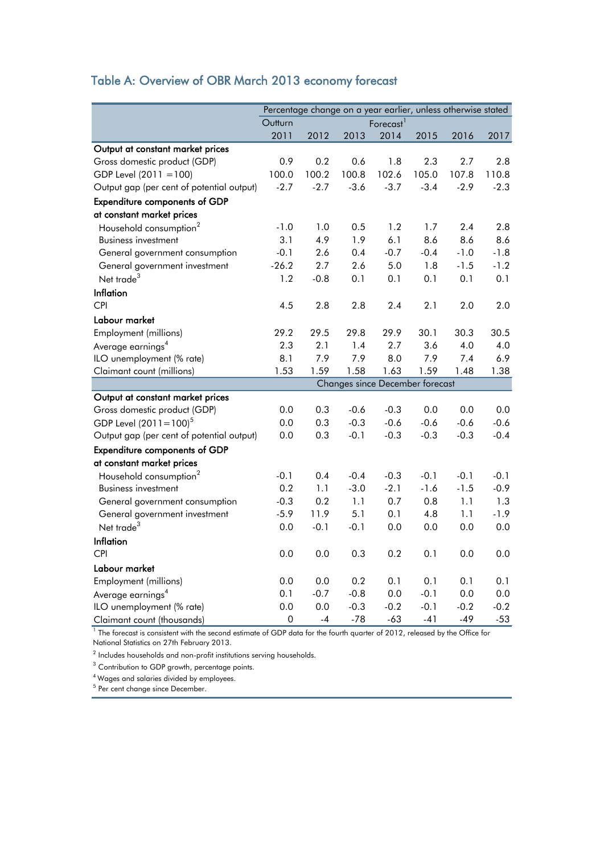## Table A: Overview of OBR March 2013 economy forecast

|                                                                                                                            | Percentage change on a year earlier, unless otherwise stated |        |        |                                 |        |        |        |  |
|----------------------------------------------------------------------------------------------------------------------------|--------------------------------------------------------------|--------|--------|---------------------------------|--------|--------|--------|--|
|                                                                                                                            | Forecast <sup>1</sup><br>Outturn                             |        |        |                                 |        |        |        |  |
|                                                                                                                            | 2011                                                         | 2012   | 2013   | 2014                            | 2015   | 2016   | 2017   |  |
| Output at constant market prices                                                                                           |                                                              |        |        |                                 |        |        |        |  |
| Gross domestic product (GDP)                                                                                               | 0.9                                                          | 0.2    | 0.6    | 1.8                             | 2.3    | 2.7    | 2.8    |  |
| GDP Level (2011 = 100)                                                                                                     | 100.0                                                        | 100.2  | 100.8  | 102.6                           | 105.0  | 107.8  | 110.8  |  |
| Output gap (per cent of potential output)                                                                                  | $-2.7$                                                       | $-2.7$ | $-3.6$ | $-3.7$                          | $-3.4$ | $-2.9$ | $-2.3$ |  |
| <b>Expenditure components of GDP</b>                                                                                       |                                                              |        |        |                                 |        |        |        |  |
| at constant market prices                                                                                                  |                                                              |        |        |                                 |        |        |        |  |
| Household consumption <sup>2</sup>                                                                                         | $-1.0$                                                       | 1.0    | 0.5    | 1.2                             | 1.7    | 2.4    | 2.8    |  |
| <b>Business investment</b>                                                                                                 | 3.1                                                          | 4.9    | 1.9    | 6.1                             | 8.6    | 8.6    | 8.6    |  |
| General government consumption                                                                                             | $-0.1$                                                       | 2.6    | 0.4    | $-0.7$                          | $-0.4$ | $-1.0$ | $-1.8$ |  |
| General government investment                                                                                              | $-26.2$                                                      | 2.7    | 2.6    | 5.0                             | 1.8    | $-1.5$ | $-1.2$ |  |
| Net trade <sup>3</sup>                                                                                                     | 1.2                                                          | $-0.8$ | 0.1    | 0.1                             | 0.1    | 0.1    | 0.1    |  |
| Inflation                                                                                                                  |                                                              |        |        |                                 |        |        |        |  |
| <b>CPI</b>                                                                                                                 | 4.5                                                          | 2.8    | 2.8    | 2.4                             | 2.1    | 2.0    | 2.0    |  |
| Labour market                                                                                                              |                                                              |        |        |                                 |        |        |        |  |
| Employment (millions)                                                                                                      | 29.2                                                         | 29.5   | 29.8   | 29.9                            | 30.1   | 30.3   | 30.5   |  |
| Average earnings <sup>4</sup>                                                                                              | 2.3                                                          | 2.1    | 1.4    | 2.7                             | 3.6    | 4.0    | 4.0    |  |
| ILO unemployment (% rate)                                                                                                  | 8.1                                                          | 7.9    | 7.9    | 8.0                             | 7.9    | 7.4    | 6.9    |  |
| Claimant count (millions)                                                                                                  | 1.53                                                         | 1.59   | 1.58   | 1.63                            | 1.59   | 1.48   | 1.38   |  |
|                                                                                                                            |                                                              |        |        | Changes since December forecast |        |        |        |  |
| Output at constant market prices                                                                                           |                                                              |        |        |                                 |        |        |        |  |
| Gross domestic product (GDP)                                                                                               | 0.0                                                          | 0.3    | $-0.6$ | $-0.3$                          | 0.0    | 0.0    | 0.0    |  |
| GDP Level $(2011 = 100)^5$                                                                                                 | 0.0                                                          | 0.3    | $-0.3$ | $-0.6$                          | $-0.6$ | $-0.6$ | $-0.6$ |  |
| Output gap (per cent of potential output)                                                                                  | 0.0                                                          | 0.3    | $-0.1$ | $-0.3$                          | $-0.3$ | $-0.3$ | $-0.4$ |  |
| <b>Expenditure components of GDP</b>                                                                                       |                                                              |        |        |                                 |        |        |        |  |
| at constant market prices                                                                                                  |                                                              |        |        |                                 |        |        |        |  |
| Household consumption <sup>2</sup>                                                                                         | $-0.1$                                                       | 0.4    | $-0.4$ | $-0.3$                          | $-0.1$ | $-0.1$ | $-0.1$ |  |
| <b>Business investment</b>                                                                                                 | 0.2                                                          | 1.1    | $-3.0$ | $-2.1$                          | $-1.6$ | $-1.5$ | $-0.9$ |  |
| General government consumption                                                                                             | $-0.3$                                                       | 0.2    | 1.1    | 0.7                             | 0.8    | 1.1    | 1.3    |  |
| General government investment                                                                                              | $-5.9$                                                       | 11.9   | 5.1    | 0.1                             | 4.8    | 1.1    | $-1.9$ |  |
| Net trade <sup>3</sup>                                                                                                     | 0.0                                                          | $-0.1$ | $-0.1$ | 0.0                             | 0.0    | 0.0    | 0.0    |  |
| Inflation                                                                                                                  |                                                              |        |        |                                 |        |        |        |  |
| <b>CPI</b>                                                                                                                 | 0.0                                                          | 0.0    | 0.3    | 0.2                             | 0.1    | 0.0    | 0.0    |  |
| Labour market                                                                                                              |                                                              |        |        |                                 |        |        |        |  |
| Employment (millions)                                                                                                      | 0.0                                                          | 0.0    | 0.2    | 0.1                             | 0.1    | 0.1    | 0.1    |  |
| Average earnings <sup>4</sup>                                                                                              | 0.1                                                          | $-0.7$ | $-0.8$ | 0.0                             | $-0.1$ | 0.0    | 0.0    |  |
| ILO unemployment (% rate)                                                                                                  | 0.0                                                          | 0.0    | $-0.3$ | $-0.2$                          | $-0.1$ | $-0.2$ | $-0.2$ |  |
| Claimant count (thousands)                                                                                                 | 0                                                            | $-4$   | $-78$  | $-63$                           | $-41$  | $-49$  | $-53$  |  |
| The forecast is consistent with the second estimate of GDP data for the fourth quarter of 2012, released by the Office for |                                                              |        |        |                                 |        |        |        |  |

National Statistics on 27th February 2013.

 $^{\rm 2}$  Includes households and non-profit institutions serving households.

 $3$  Contribution to GDP growth, percentage points.

4 Wages and salaries divided by employees.

<sup>5</sup> Per cent change since December.